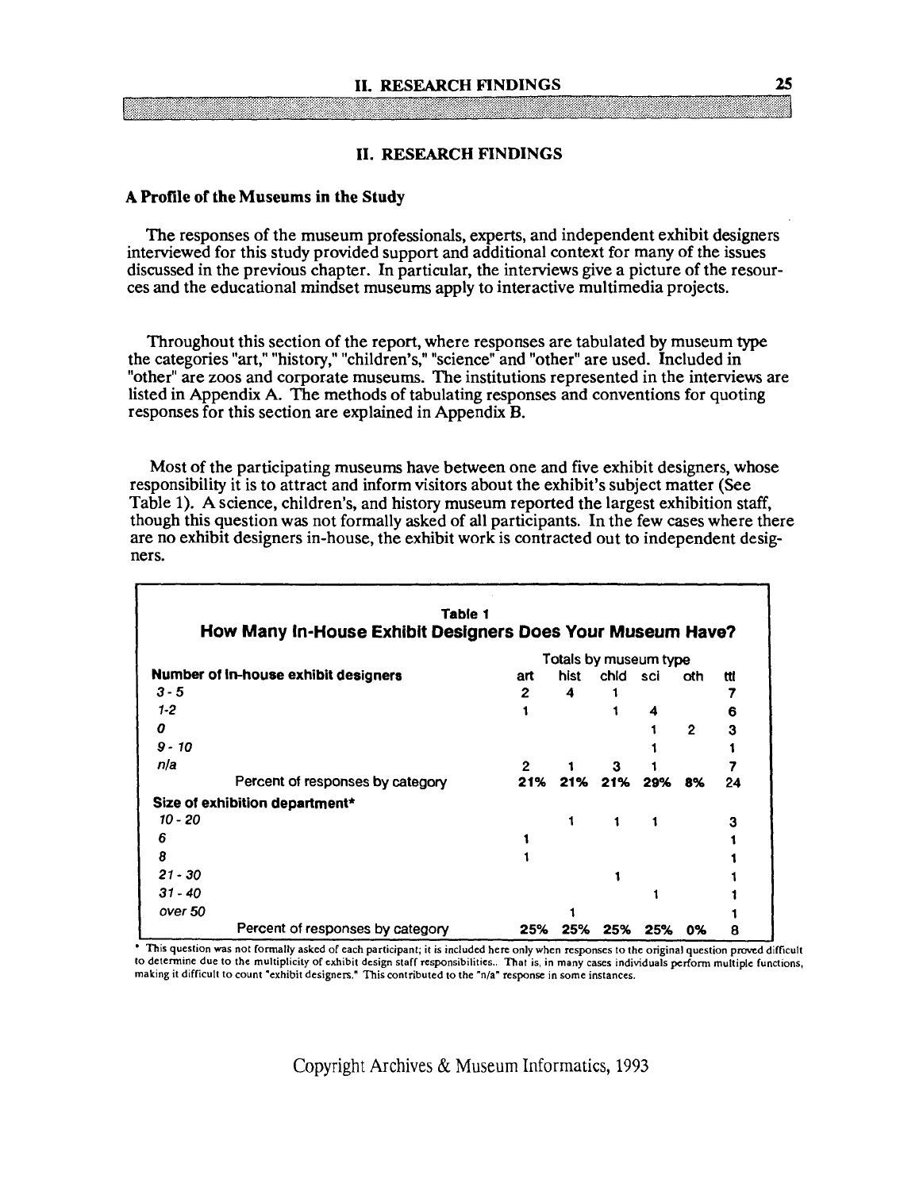#### **11. RESEARCH FINDINGS**

#### **A Profile of the Museums in the Study**

The responses of the museum professionals, experts, and independent exhibit designers interviewed for this study provided support and additional context for many of the issues discussed in the previous chapter. In particular, the interviews give a picture of the resources and the educational mindset museums apply to interactive multimedia projects.

Throughout this section of the report, where responses are tabulated by museum type the categories "art," "history," "children's," "science" and "other" are used. Included in "other" are zoos and corporate museums. The institutions represented in the interviews are listed in Appendix A. The methods of tabulating responses and conventions for quoting responses for this section are explained in Appendix B.

Most of the participating museums have between one and five exhibit designers, whose responsibility it is to attract and inform visitors about the exhibit's subject matter (See Table 1). A science, children's, and history museum reported the largest exhibition staff, though this question was not formally asked of all participants. In the few cases where there are no exhibit designers in-house, the exhibit work is contracted out to independent designers.

| Table 1                                                    |                       |      |      |     |              |     |  |
|------------------------------------------------------------|-----------------------|------|------|-----|--------------|-----|--|
| How Many In-House Exhibit Designers Does Your Museum Have? |                       |      |      |     |              |     |  |
|                                                            | Totals by museum type |      |      |     |              |     |  |
| Number of in-house exhibit designers                       | art                   | hist | chid | sci | oth          | ttl |  |
| $3 - 5$                                                    | 2                     | 4    |      |     |              |     |  |
| $1-2$                                                      |                       |      |      |     |              | 6   |  |
| 0                                                          |                       |      |      |     | $\mathbf{2}$ | 3   |  |
| $9 - 10$                                                   |                       |      |      |     |              |     |  |
| nla                                                        | $\mathbf{2}$          |      |      |     |              |     |  |
| Percent of responses by category                           | 21%                   | 21%  | 21%  | 29% | 8%           | 24  |  |
| Size of exhibition department*                             |                       |      |      |     |              |     |  |
| 10 - 20                                                    |                       | 1    | 1    |     |              | 3   |  |
| 6                                                          |                       |      |      |     |              |     |  |
| 8                                                          |                       |      |      |     |              |     |  |
| $21 - 30$                                                  |                       |      |      |     |              |     |  |
| $31 - 40$                                                  |                       |      |      |     |              |     |  |
| over 50                                                    |                       |      |      |     |              |     |  |
| Percent of responses by category                           | 25%                   | 25%  | 25%  | 25% | 0%           | 8   |  |

**to determine due to the multiplicily of cxhibit design staff responsibilities.. That is, in many cases individuals perform multiple functions,**  making it difficult to count "exhibit designers." This contributed to the "n/a" response in some instances.

Copyright Archives & Museum Informatics, 1993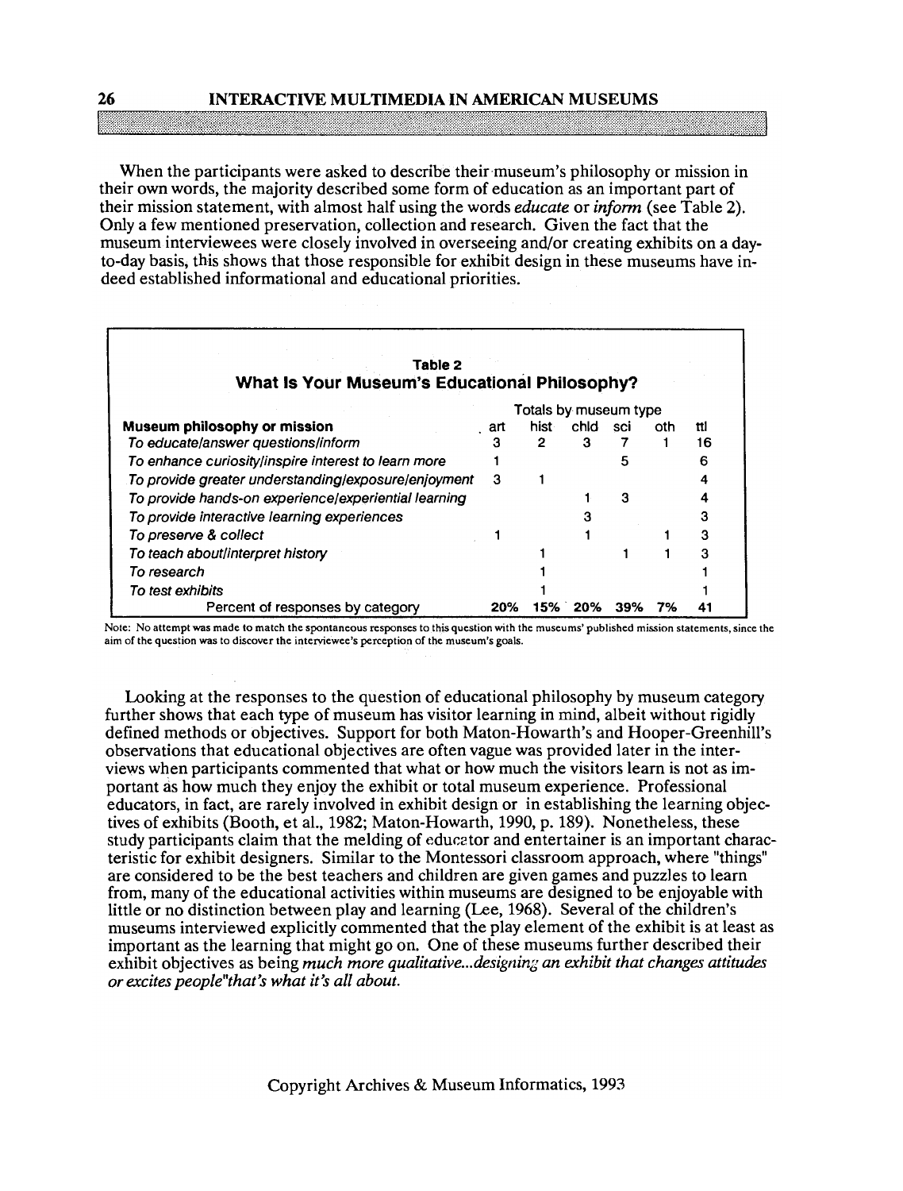### **26 INTERACTIVE MULTIMEDIA IN AMERICAN MUSEUMS**

When the participants were asked to describe their museum's philosophy or mission in their own words, the majority described some form of education as an important part of their mission statement, with almost half using the words *educate* or *inform* (see Table 2). Only a few mentioned preservation, collection and research. Given the fact that the museum interviewees were closely involved in overseeing and/or creating exhibits on a dayto-day basis, this shows that those responsible for exhibit design in these museums have indeed established informational and educational priorities.

| Table 2<br>What Is Your Museum's Educational Philosophy? |     |       |      |     |     |     |  |  |  |
|----------------------------------------------------------|-----|-------|------|-----|-----|-----|--|--|--|
| Totals by museum type                                    |     |       |      |     |     |     |  |  |  |
| Museum philosophy or mission                             | art | hist⊹ | chid | sci | oth | tti |  |  |  |
| To educate/answer questions/inform                       | з   | 2     | з    |     |     | 16  |  |  |  |
| To enhance curiosity/inspire interest to learn more      |     |       |      | 5   |     |     |  |  |  |
| To provide greater understanding/exposure/enjoyment      | З   |       |      |     |     |     |  |  |  |
| To provide hands-on experience/experiential learning     |     |       |      | 3   |     |     |  |  |  |
| To provide interactive learning experiences              |     |       |      |     |     |     |  |  |  |
| To preserve & collect                                    |     |       |      |     |     |     |  |  |  |
| To teach about/interpret history                         |     |       |      |     |     |     |  |  |  |
| To research                                              |     |       |      |     |     |     |  |  |  |
| To test exhibits                                         |     |       |      |     |     |     |  |  |  |
| Percent of responses by category                         | 20% | 15%   | 20%  | 39% | 7%  |     |  |  |  |

**Note: No attempt was made to match the spontaneous responses to this question with the museums' published mission statements, since the am of the question was to discover the interviewee's perception of the museum's goals.** 

Looking at the responses to the question of educational philosophy by museum category further shows that each type of museum has visitor learning in mind, albeit without rigidly defined methods or objectives. Support for both Maton-Howarth's and Hooper-Greenhill's observations that educational objectives are often vague was provided later in the interviews when participants commented that what or how much the visitors learn is not as important as how much they enjoy the exhibit or total museum experience. Professional educators, in fact, are rarely involved in exhibit design or in establishing the learning objectives of exhibits (Booth, et al., 1982; Maton-Howarth, 1990, p. 189). Nonetheless, these study participants claim that the melding of educetor and entertainer is an important characteristic for exhibit designers. Similar to the Montessori classroom approach, where "things" are considered to be the best teachers and children are given games and puzzles to learn from, many of the educational activities within museums are designed to be enjoyable with little or no distinction between play and learning (Lee, 1968). Several of the children's nluseums interviewed explicitly commented that the play element of the exhibit is at least as important as the learning that might go on. One of these museums further described their exhibit objectives as being *much more qualitative* ... *designin;; an exhibit that changes attitudes or excites peoplel'that's what it's all about.*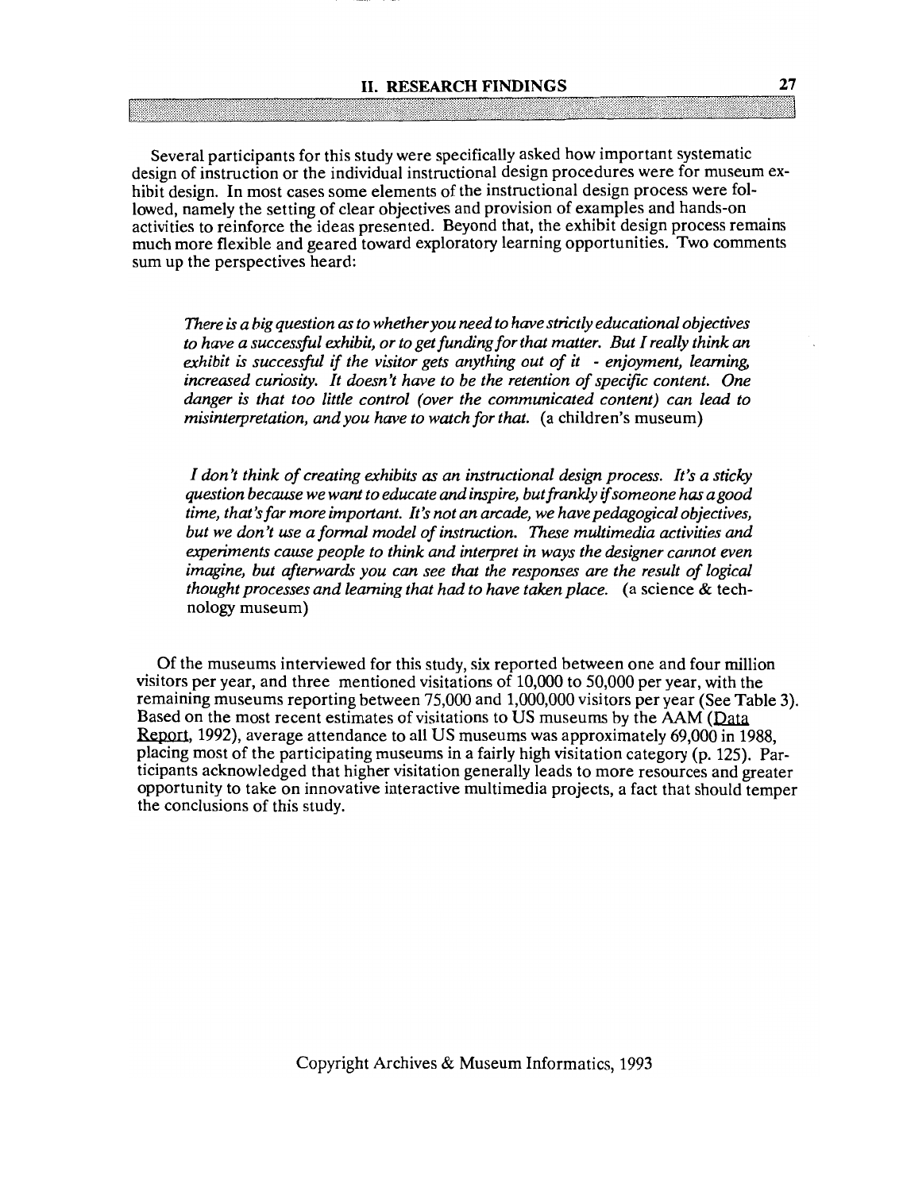# Several participants for this study were specifically asked how important systematic design of instruction or the individual instructional design procedures were for museum exhibit design. In most cases some elements of the instructional design process were followed, namely the setting of clear objectives and provision of examples and hands-on activities to reinforce the ideas presented. Beyond that, the exhibit design process remains much more flexible and geared toward exploratory learning opportunities. Two comments sum up the perspectives heard:

*There* **is** *a big question as to whetheryou need to have strictly educational objectives to have a successful exhibit, or to get funding for that matter. But I really think an exhibit* **is** *successful if the visitor gets anything out of it* - *enjoyment, learning, increased curiosity. It doesn't have to be the retention of specifc content. One danger* **is** *that too little control (over the communicated content) can lead to misinterpretation, and you have to watch for that.* (a children's museum)

*I don't think of creating exhibits as an instructional design process. It's a sticky question because we want to educate and inspire, but frankly ifsomeone has agood time, that's far more important. It's not an arcade, we have pedagogical objectives, but we don't use a formal model of instruction. These multimedia activities and experiments cause people to think and interpret in ways the designer cannot even imagine, but afterwards you can see that the responses are the result of logical thought processes and learning that had to have taken place.* (a science & technology museum)

Of the museums interviewed for this study, six reported between one and four million visitors per year, and three mentioned visitations of 10,000 to 50,000 per year, with the remaining museums reporting between 75,000 and 1,000,000 visitors per year (See Table 3). remaining museums reporting between 75,000 and 1,000,000 visitors per year (See Table<br>Based on the most recent estimates of visitations to US museums by the AAM (Data<br>Report, 1992), average attendance to all US museums was 1992), average attendance to all **US** museums was approximately 69,000 in 1988, placing most of the participating museums in a fairly high visitation category (p. 125). Participants acknowledged that higher visitation generally leads to more resources and greater opportunity to take on innovative interactive multimedia projects, a fact that should temper the conclusions of this study.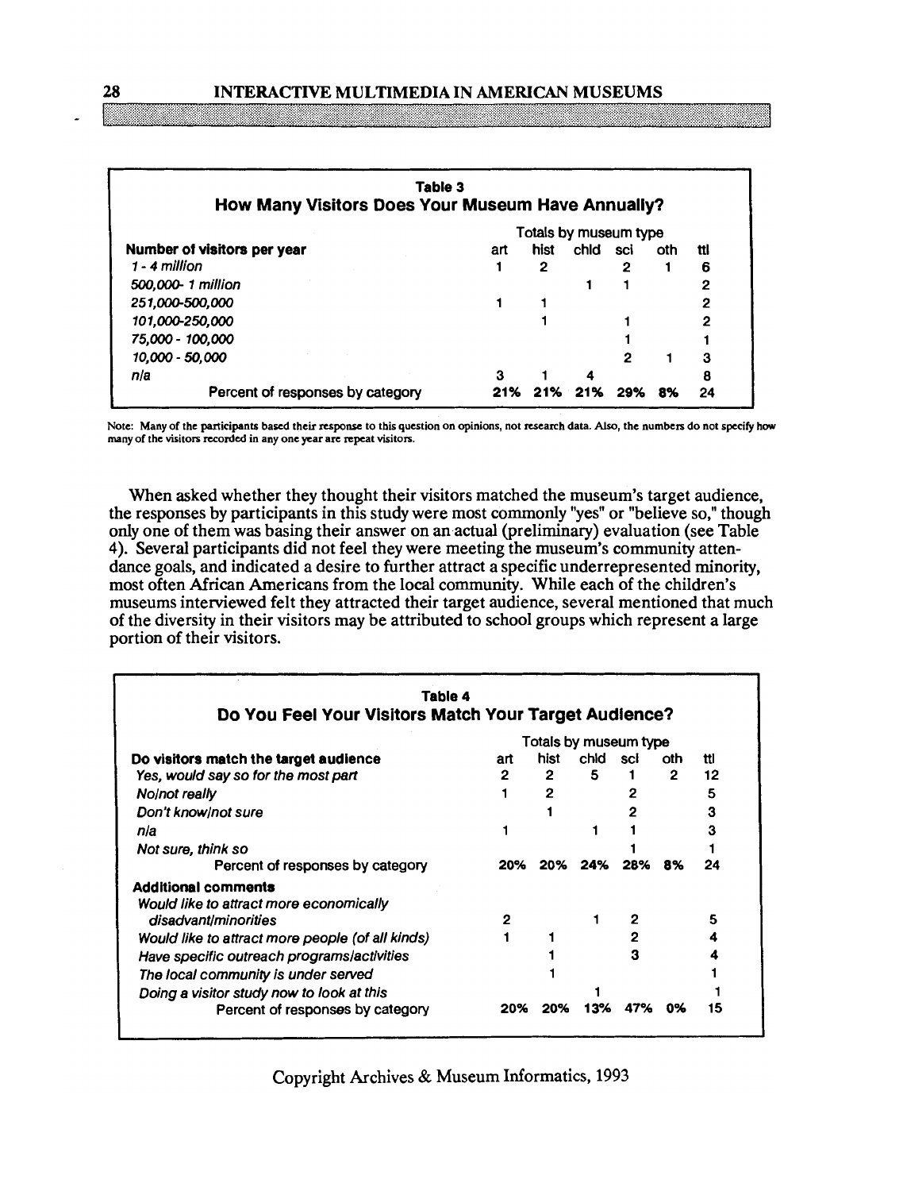## **28 INTERACTIVE MULTIMEDIA IN AMERICAN MUSEUMS**

| Table 3<br>How Many Visitors Does Your Museum Have Annually? |                       |      |      |     |     |     |
|--------------------------------------------------------------|-----------------------|------|------|-----|-----|-----|
|                                                              | Totals by museum type |      |      |     |     |     |
| Number of visitors per year                                  | art                   | hist | chid | sci | oth | ttl |
| $1 - 4$ million                                              |                       | 2    |      | 2   |     | 6   |
| 500,000-1 million                                            |                       |      |      |     |     | 2   |
| 251,000-500,000                                              |                       |      |      |     |     | 2   |
| 101,000-250,000                                              |                       |      |      |     |     | 2   |
| 75,000 - 100,000                                             |                       |      |      |     |     |     |
| 10,000 - 50,000                                              |                       |      |      | 2   |     | 3   |
| n/a                                                          | з                     |      |      |     |     | 8   |
| Percent of responses by category                             |                       |      | 21%  | 29% | 8%  | 24  |

**Note: Many of the participants based their response to this question on opinions, not research data. Also, the numbers do not specily how many of the visitors recorded in any one year are repeat visitors.** 

When asked whether they thought their visitors matched the museum's target audience, the responses by participants in this study were most commonly "yes" or "believe so," though only one of them was basing their answer on an actual (preliminary) evaluation (see Table 4). Several participants did not feel they were meeting the museum's community attendance goals, and indicated a desire to further attract a specific underrepresented minority, most often African Americans from the local community. While each of the children's museums interviewed felt they attracted their target audience, several mentioned that much of the diversity in their visitors may be attributed to school groups which represent a large portion of their visitors.

| Table 4                                               |                       |      |         |     |      |     |  |
|-------------------------------------------------------|-----------------------|------|---------|-----|------|-----|--|
| Do You Feel Your Visitors Match Your Target Audience? |                       |      |         |     |      |     |  |
|                                                       | Totals by museum type |      |         |     |      |     |  |
| Do visitors match the target audience                 | art                   | hist | chid    | sci | oth. | ttl |  |
| Yes, would say so for the most part                   | $\overline{2}$        | 2    | 5.      |     | 2    | 12  |  |
| No/not really                                         |                       | 2    |         |     |      | 5   |  |
| Don't know/not sure                                   |                       |      |         |     |      | 3   |  |
| nla                                                   |                       |      |         |     |      | З   |  |
| Not sure, think so                                    |                       |      |         |     |      |     |  |
| Percent of responses by category                      | 20%                   |      | 20% 24% | 28% | 8%   | 24  |  |
| <b>Additional comments</b>                            |                       |      |         |     |      |     |  |
| Would like to attract more economically               |                       |      |         |     |      |     |  |
| disadvant/minorities                                  | 2                     |      |         |     |      | 5   |  |
| Would like to attract more people (of all kinds)      |                       |      |         |     |      |     |  |
| Have specific outreach programs/activities            |                       |      |         | з   |      |     |  |
| The local community is under served                   |                       |      |         |     |      |     |  |
| Doing a visitor study now to look at this             |                       |      |         |     |      |     |  |
| Percent of responses by category                      | 20%                   | 20%  | 13%     | 47% | 0%   | 15  |  |

Copyright Archives & Museum Informatics, 1993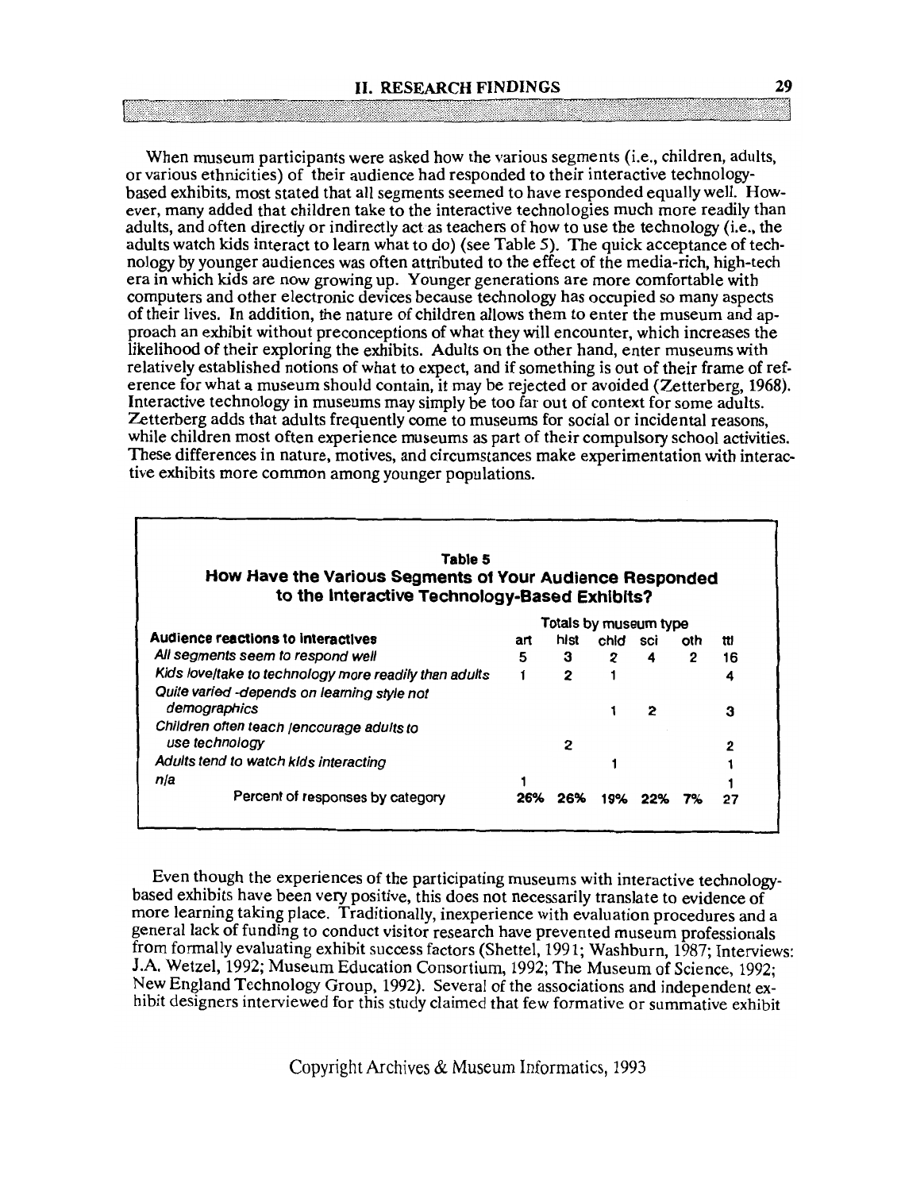When museum participants were asked how the various segments (i.e., children, adults, or various ethnicities) of their audience had responded to their interactive technologybased exhibits, most stated that all segments seemed to have responded equally well. However, many added that children take to the interactive technologies much more readily than adults, and often directly or indirectly act as teachers of how to use the technology (i.e., the adults watch kids interact to learn what to do) (see Table 5). The quick acceptance of technology by younger audiences was often attributed to the effect of the media-rich, high-tech era in which kids are now growing up. Younger generations are more comfortable with computers and other electronic devices because technology has occupied so many aspects of their lives. In addition, the nature of children allows them to enter the museum and approach an exhibit without preconceptions of what they will encounter, which increases the likelihood of their exploring the exhibits. Adults on the other hand, enter museums with relatively established notions of what to expect, and if something is out of their frame of reference for what a museum should contain, it may be rejected or avoided (Zetterberg, **1968).**  Interactive technology in museums may simply be too far out of context for some adults. Zetterberg adds that adults frequently come to museums for social or incidental reasons, while children most often experience museums as part of their compulsory school activities. These differences in nature, motives, and circumstances make experimentation with interactive exhibits more common among younger populations.

| Table 5<br>How Have the Various Segments of Your Audience Responded<br>to the Interactive Technology-Based Exhibits? |     |      |                       |     |                |     |
|----------------------------------------------------------------------------------------------------------------------|-----|------|-----------------------|-----|----------------|-----|
|                                                                                                                      |     |      | Totals by museum type |     |                |     |
| <b>Audience reactions to interactives</b>                                                                            | art | hist | chid                  | sci | oth            | ttl |
| All segments seem to respond well                                                                                    | 5   | 3    | $\mathbf{2}$          | 4   | $\overline{2}$ | 16  |
| Kids love/take to technology more readily than adults                                                                |     | 2    |                       |     |                | 4   |
| Quite varied -depends on learning style not<br>demographics<br>Children often teach /encourage adults to             |     |      |                       | 2   |                | 3   |
| use technology                                                                                                       |     | 2    |                       |     |                | 2   |
| Adults tend to watch kids interacting                                                                                |     |      |                       |     |                |     |
| nla                                                                                                                  |     |      |                       |     |                |     |
| Percent of responses by category                                                                                     | 26% | 26%  | 19%                   |     |                | 27  |

Even though the experiences of the participating museums with interactive technologybased exhibits have been very positive, this does not necessarily translate to evidence of more learning taking place. Traditionally, inexperience with evaluation procedures and a general lack of funding to conduct visitor research have prevented museum professionals from formally evaluating exhibit success factors (Shettel, 1991; Washburn, 1987; Interviews: J.A. Wetzel, 1992; Museum Education Consortium, 1992; The Museum of Science, 1992; New England Technology Group, 1992). Several of the associations and independent exhibit designers interviewed for this study claimed that few formative or summative exhibit

Copyright Archives & Museum Informatics, 1993